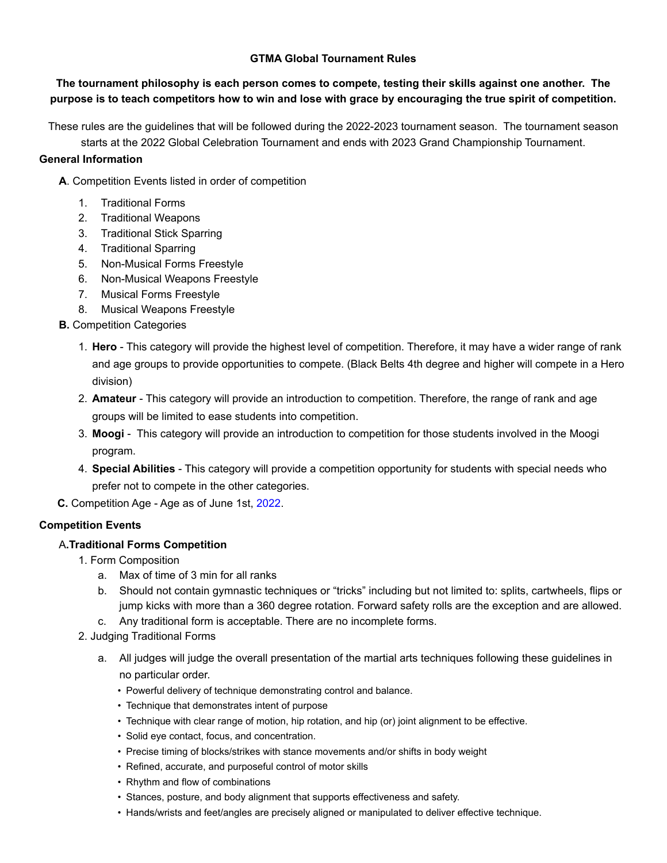### **GTMA Global Tournament Rules**

### **The tournament philosophy is each person comes to compete, testing their skills against one another. The purpose is to teach competitors how to win and lose with grace by encouraging the true spirit of competition.**

These rules are the guidelines that will be followed during the 2022-2023 tournament season. The tournament season starts at the 2022 Global Celebration Tournament and ends with 2023 Grand Championship Tournament.

### **General Information**

**A**. Competition Events listed in order of competition

- 1. Traditional Forms
- 2. Traditional Weapons
- 3. Traditional Stick Sparring
- 4. Traditional Sparring
- 5. Non-Musical Forms Freestyle
- 6. Non-Musical Weapons Freestyle
- 7. Musical Forms Freestyle
- 8. Musical Weapons Freestyle
- **B.** Competition Categories
	- 1. **Hero**  This category will provide the highest level of competition. Therefore, it may have a wider range of rank and age groups to provide opportunities to compete. (Black Belts 4th degree and higher will compete in a Hero division)
	- 2. **Amateur** This category will provide an introduction to competition. Therefore, the range of rank and age groups will be limited to ease students into competition.
	- 3. **Moogi** This category will provide an introduction to competition for those students involved in the Moogi program.
	- 4. **Special Abilities** This category will provide a competition opportunity for students with special needs who prefer not to compete in the other categories.
- **C.** Competition Age Age as of June 1st, 2022.

### **Competition Events**

### A**.Traditional Forms Competition**

- 1. Form Composition
	- a. Max of time of 3 min for all ranks
	- b. Should not contain gymnastic techniques or "tricks" including but not limited to: splits, cartwheels, flips or jump kicks with more than a 360 degree rotation. Forward safety rolls are the exception and are allowed.
	- c. Any traditional form is acceptable. There are no incomplete forms.
- 2. Judging Traditional Forms
	- a. All judges will judge the overall presentation of the martial arts techniques following these guidelines in no particular order.
		- Powerful delivery of technique demonstrating control and balance.
		- Technique that demonstrates intent of purpose
		- Technique with clear range of motion, hip rotation, and hip (or) joint alignment to be effective.
		- Solid eye contact, focus, and concentration.
		- Precise timing of blocks/strikes with stance movements and/or shifts in body weight
		- Refined, accurate, and purposeful control of motor skills
		- Rhythm and flow of combinations
		- Stances, posture, and body alignment that supports effectiveness and safety.
		- Hands/wrists and feet/angles are precisely aligned or manipulated to deliver effective technique.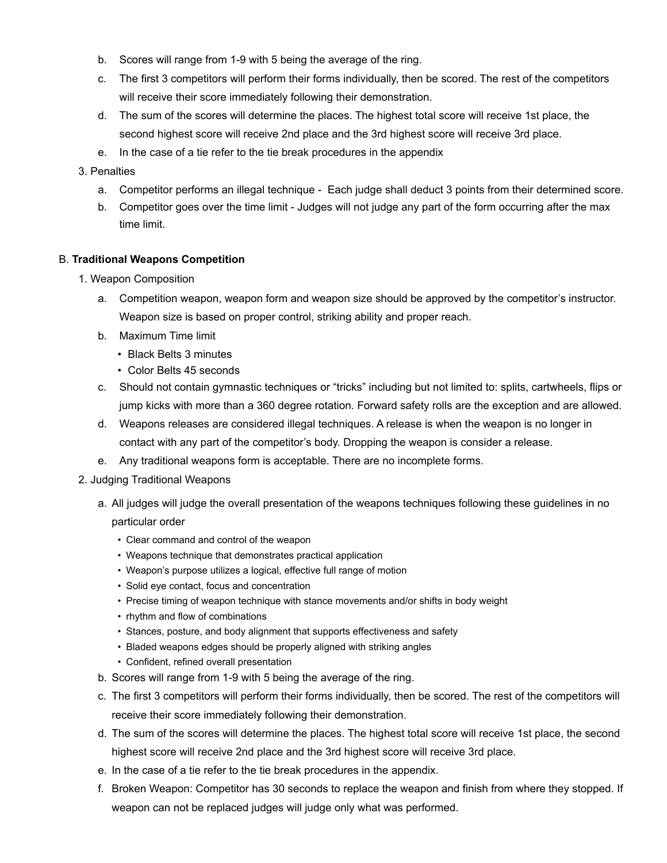- b. Scores will range from 1-9 with 5 being the average of the ring.
- c. The first 3 competitors will perform their forms individually, then be scored. The rest of the competitors will receive their score immediately following their demonstration.
- d. The sum of the scores will determine the places. The highest total score will receive 1st place, the second highest score will receive 2nd place and the 3rd highest score will receive 3rd place.
- e. In the case of a tie refer to the tie break procedures in the appendix
- 3. Penalties
	- a. Competitor performs an illegal technique Each judge shall deduct 3 points from their determined score.
	- b. Competitor goes over the time limit Judges will not judge any part of the form occurring after the max time limit.

### B. **Traditional Weapons Competition**

- 1. Weapon Composition
	- a. Competition weapon, weapon form and weapon size should be approved by the competitor's instructor. Weapon size is based on proper control, striking ability and proper reach.
	- b. Maximum Time limit
		- Black Belts 3 minutes
		- Color Belts 45 seconds
	- c. Should not contain gymnastic techniques or "tricks" including but not limited to: splits, cartwheels, flips or jump kicks with more than a 360 degree rotation. Forward safety rolls are the exception and are allowed.
	- d. Weapons releases are considered illegal techniques. A release is when the weapon is no longer in contact with any part of the competitor's body. Dropping the weapon is consider a release.
	- e. Any traditional weapons form is acceptable. There are no incomplete forms.
- 2. Judging Traditional Weapons
	- a. All judges will judge the overall presentation of the weapons techniques following these guidelines in no particular order
		- Clear command and control of the weapon
		- Weapons technique that demonstrates practical application
		- Weapon's purpose utilizes a logical, effective full range of motion
		- Solid eye contact, focus and concentration
		- Precise timing of weapon technique with stance movements and/or shifts in body weight
		- rhythm and flow of combinations
		- Stances, posture, and body alignment that supports effectiveness and safety
		- Bladed weapons edges should be properly aligned with striking angles
		- Confident, refined overall presentation
	- b. Scores will range from 1-9 with 5 being the average of the ring.
	- c. The first 3 competitors will perform their forms individually, then be scored. The rest of the competitors will receive their score immediately following their demonstration.
	- d. The sum of the scores will determine the places. The highest total score will receive 1st place, the second highest score will receive 2nd place and the 3rd highest score will receive 3rd place.
	- e. In the case of a tie refer to the tie break procedures in the appendix.
	- f. Broken Weapon: Competitor has 30 seconds to replace the weapon and finish from where they stopped. If weapon can not be replaced judges will judge only what was performed.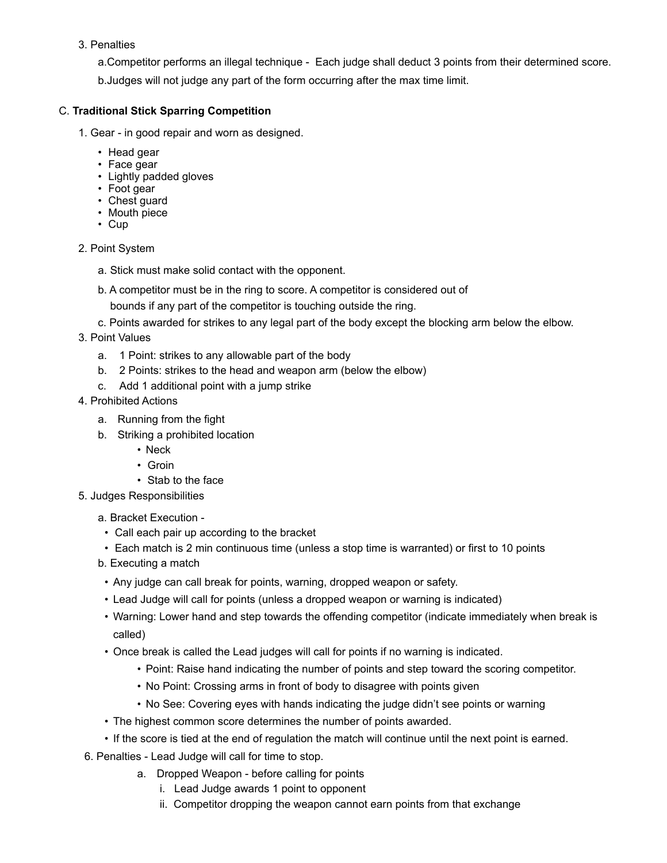### 3. Penalties

a.Competitor performs an illegal technique - Each judge shall deduct 3 points from their determined score. b.Judges will not judge any part of the form occurring after the max time limit.

### C. **Traditional Stick Sparring Competition**

- 1. Gear in good repair and worn as designed.
	- Head gear
	- Face gear
	- Lightly padded gloves
	- Foot gear
	- Chest guard
	- Mouth piece
	- Cup
- 2. Point System
	- a. Stick must make solid contact with the opponent.
	- b. A competitor must be in the ring to score. A competitor is considered out of
		- bounds if any part of the competitor is touching outside the ring.
	- c. Points awarded for strikes to any legal part of the body except the blocking arm below the elbow.
- 3. Point Values
	- a. 1 Point: strikes to any allowable part of the body
	- b. 2 Points: strikes to the head and weapon arm (below the elbow)
	- c. Add 1 additional point with a jump strike
- 4. Prohibited Actions
	- a. Running from the fight
	- b. Striking a prohibited location
		- Neck
		- Groin
		- Stab to the face

5. Judges Responsibilities

- a. Bracket Execution -
- Call each pair up according to the bracket
- Each match is 2 min continuous time (unless a stop time is warranted) or first to 10 points
- b. Executing a match
- Any judge can call break for points, warning, dropped weapon or safety.
- Lead Judge will call for points (unless a dropped weapon or warning is indicated)
- Warning: Lower hand and step towards the offending competitor (indicate immediately when break is called)
- Once break is called the Lead judges will call for points if no warning is indicated.
	- Point: Raise hand indicating the number of points and step toward the scoring competitor.
	- No Point: Crossing arms in front of body to disagree with points given
	- No See: Covering eyes with hands indicating the judge didn't see points or warning
- The highest common score determines the number of points awarded.
- If the score is tied at the end of regulation the match will continue until the next point is earned.
- 6. Penalties Lead Judge will call for time to stop.
	- a. Dropped Weapon before calling for points
		- i. Lead Judge awards 1 point to opponent
		- ii. Competitor dropping the weapon cannot earn points from that exchange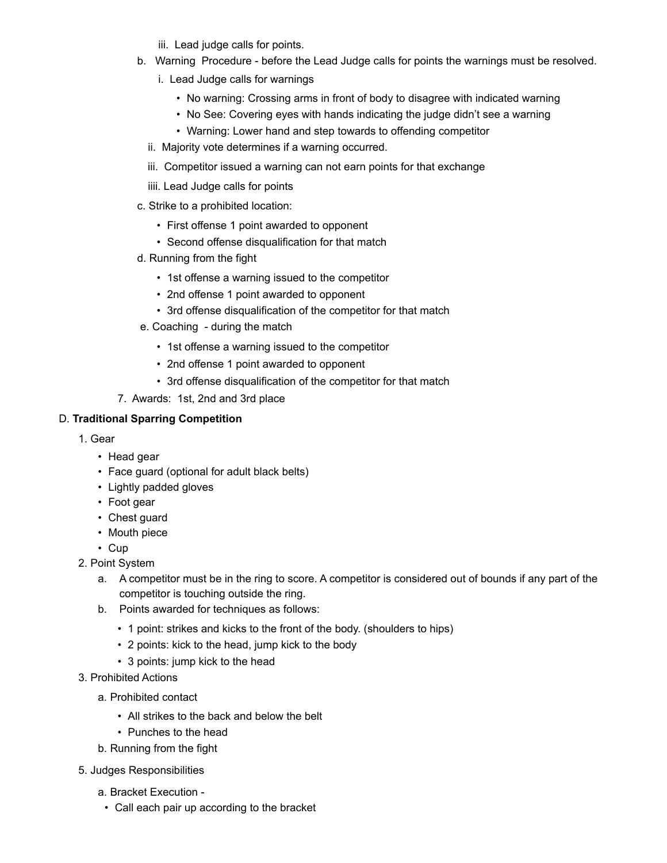iii. Lead judge calls for points.

- b. Warning Procedure before the Lead Judge calls for points the warnings must be resolved.
	- i. Lead Judge calls for warnings
		- No warning: Crossing arms in front of body to disagree with indicated warning
		- No See: Covering eyes with hands indicating the judge didn't see a warning
		- Warning: Lower hand and step towards to offending competitor
	- ii. Majority vote determines if a warning occurred.
	- iii. Competitor issued a warning can not earn points for that exchange
	- iiii. Lead Judge calls for points
- c. Strike to a prohibited location:
	- First offense 1 point awarded to opponent
	- Second offense disqualification for that match
- d. Running from the fight
	- 1st offense a warning issued to the competitor
	- 2nd offense 1 point awarded to opponent
	- 3rd offense disqualification of the competitor for that match
- e. Coaching during the match
	- 1st offense a warning issued to the competitor
	- 2nd offense 1 point awarded to opponent
	- 3rd offense disqualification of the competitor for that match
- 7. Awards: 1st, 2nd and 3rd place

### D. **Traditional Sparring Competition**

- 1. Gear
	- Head gear
	- Face guard (optional for adult black belts)
	- Lightly padded gloves
	- Foot gear
	- Chest guard
	- Mouth piece
	- Cup
- 2. Point System
	- a. A competitor must be in the ring to score. A competitor is considered out of bounds if any part of the competitor is touching outside the ring.
	- b. Points awarded for techniques as follows:
		- 1 point: strikes and kicks to the front of the body. (shoulders to hips)
		- 2 points: kick to the head, jump kick to the body
		- 3 points: jump kick to the head
- 3. Prohibited Actions
	- a. Prohibited contact
		- All strikes to the back and below the belt
		- Punches to the head
	- b. Running from the fight
- 5. Judges Responsibilities
	- a. Bracket Execution
		- Call each pair up according to the bracket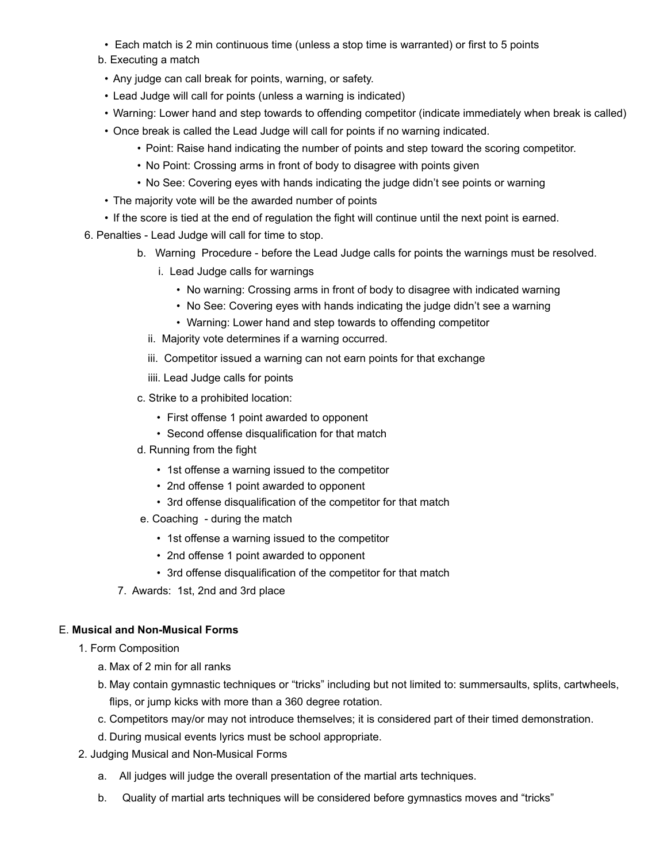- Each match is 2 min continuous time (unless a stop time is warranted) or first to 5 points
- b. Executing a match
- Any judge can call break for points, warning, or safety.
- Lead Judge will call for points (unless a warning is indicated)
- Warning: Lower hand and step towards to offending competitor (indicate immediately when break is called)
- Once break is called the Lead Judge will call for points if no warning indicated.
	- Point: Raise hand indicating the number of points and step toward the scoring competitor.
	- No Point: Crossing arms in front of body to disagree with points given
	- No See: Covering eyes with hands indicating the judge didn't see points or warning
- The majority vote will be the awarded number of points
- If the score is tied at the end of regulation the fight will continue until the next point is earned.
- 6. Penalties Lead Judge will call for time to stop.
	- b. Warning Procedure before the Lead Judge calls for points the warnings must be resolved.
		- i. Lead Judge calls for warnings
			- No warning: Crossing arms in front of body to disagree with indicated warning
			- No See: Covering eyes with hands indicating the judge didn't see a warning
			- Warning: Lower hand and step towards to offending competitor
		- ii. Majority vote determines if a warning occurred.
		- iii. Competitor issued a warning can not earn points for that exchange
		- iiii. Lead Judge calls for points
	- c. Strike to a prohibited location:
		- First offense 1 point awarded to opponent
		- Second offense disqualification for that match
	- d. Running from the fight
		- 1st offense a warning issued to the competitor
		- 2nd offense 1 point awarded to opponent
		- 3rd offense disqualification of the competitor for that match
	- e. Coaching during the match
		- 1st offense a warning issued to the competitor
		- 2nd offense 1 point awarded to opponent
		- 3rd offense disqualification of the competitor for that match
	- 7. Awards: 1st, 2nd and 3rd place

### E. **Musical and Non-Musical Forms**

1. Form Composition

- a. Max of 2 min for all ranks
- b. May contain gymnastic techniques or "tricks" including but not limited to: summersaults, splits, cartwheels, flips, or jump kicks with more than a 360 degree rotation.
- c. Competitors may/or may not introduce themselves; it is considered part of their timed demonstration.
- d. During musical events lyrics must be school appropriate.
- 2. Judging Musical and Non-Musical Forms
	- a. All judges will judge the overall presentation of the martial arts techniques.
	- b. Quality of martial arts techniques will be considered before gymnastics moves and "tricks"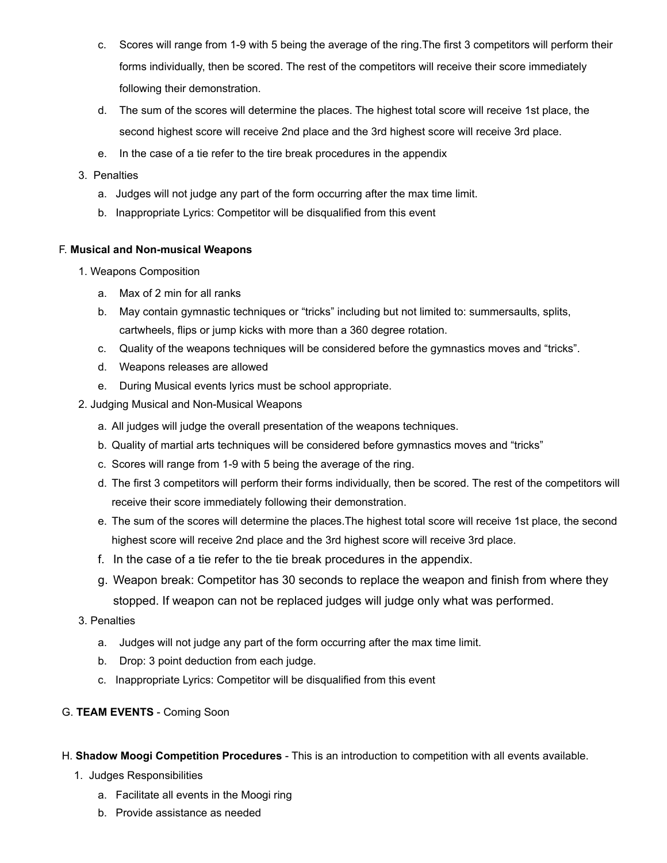- c. Scores will range from 1-9 with 5 being the average of the ring.The first 3 competitors will perform their forms individually, then be scored. The rest of the competitors will receive their score immediately following their demonstration.
- d. The sum of the scores will determine the places. The highest total score will receive 1st place, the second highest score will receive 2nd place and the 3rd highest score will receive 3rd place.
- e. In the case of a tie refer to the tire break procedures in the appendix
- 3. Penalties
	- a. Judges will not judge any part of the form occurring after the max time limit.
	- b. Inappropriate Lyrics: Competitor will be disqualified from this event

### F. **Musical and Non-musical Weapons**

- 1. Weapons Composition
	- a. Max of 2 min for all ranks
	- b. May contain gymnastic techniques or "tricks" including but not limited to: summersaults, splits, cartwheels, flips or jump kicks with more than a 360 degree rotation.
	- c. Quality of the weapons techniques will be considered before the gymnastics moves and "tricks".
	- d. Weapons releases are allowed
	- e. During Musical events lyrics must be school appropriate.
- 2. Judging Musical and Non-Musical Weapons
	- a. All judges will judge the overall presentation of the weapons techniques.
	- b. Quality of martial arts techniques will be considered before gymnastics moves and "tricks"
	- c. Scores will range from 1-9 with 5 being the average of the ring.
	- d. The first 3 competitors will perform their forms individually, then be scored. The rest of the competitors will receive their score immediately following their demonstration.
	- e. The sum of the scores will determine the places.The highest total score will receive 1st place, the second highest score will receive 2nd place and the 3rd highest score will receive 3rd place.
	- f. In the case of a tie refer to the tie break procedures in the appendix.
	- g. Weapon break: Competitor has 30 seconds to replace the weapon and finish from where they stopped. If weapon can not be replaced judges will judge only what was performed.
- 3. Penalties
	- a. Judges will not judge any part of the form occurring after the max time limit.
	- b. Drop: 3 point deduction from each judge.
	- c. Inappropriate Lyrics: Competitor will be disqualified from this event
- G. **TEAM EVENTS** Coming Soon
- H. **Shadow Moogi Competition Procedures** This is an introduction to competition with all events available.
	- 1. Judges Responsibilities
		- a. Facilitate all events in the Moogi ring
		- b. Provide assistance as needed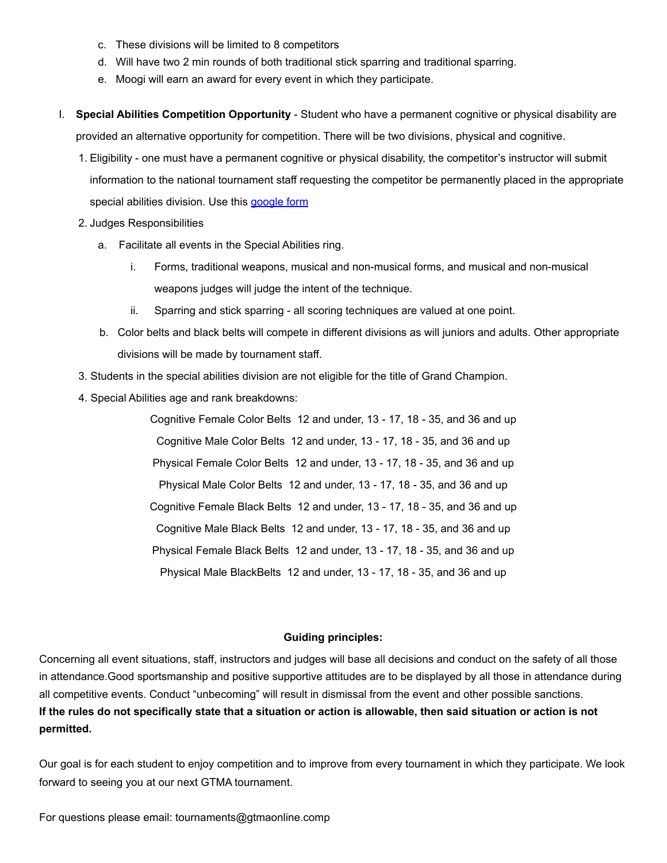- c. These divisions will be limited to 8 competitors
- d. Will have two 2 min rounds of both traditional stick sparring and traditional sparring.
- e. Moogi will earn an award for every event in which they participate.
- I. **Special Abilities Competition Opportunity**  Student who have a permanent cognitive or physical disability are provided an alternative opportunity for competition. There will be two divisions, physical and cognitive.
	- 1. Eligibility one must have a permanent cognitive or physical disability, the competitor's instructor will submit information to the national tournament staff requesting the competitor be permanently placed in the appropriate special abilities division. Use this [google form](https://docs.google.com/forms/d/e/1FAIpQLSfQlFCRh-URk_O6oRdXXJdEuCMpNqpDN5dKqBCxElpnwxG-LA/viewform?usp=pp_url)
	- 2. Judges Responsibilities
		- a. Facilitate all events in the Special Abilities ring.
			- i. Forms, traditional weapons, musical and non-musical forms, and musical and non-musical weapons judges will judge the intent of the technique.
			- ii. Sparring and stick sparring all scoring techniques are valued at one point.
		- b. Color belts and black belts will compete in different divisions as will juniors and adults. Other appropriate divisions will be made by tournament staff.
	- 3. Students in the special abilities division are not eligible for the title of Grand Champion.
	- 4. Special Abilities age and rank breakdowns:

Cognitive Female Color Belts 12 and under, 13 - 17, 18 - 35, and 36 and up Cognitive Male Color Belts 12 and under, 13 - 17, 18 - 35, and 36 and up Physical Female Color Belts 12 and under, 13 - 17, 18 - 35, and 36 and up Physical Male Color Belts 12 and under, 13 - 17, 18 - 35, and 36 and up Cognitive Female Black Belts 12 and under, 13 - 17, 18 - 35, and 36 and up Cognitive Male Black Belts 12 and under, 13 - 17, 18 - 35, and 36 and up Physical Female Black Belts 12 and under, 13 - 17, 18 - 35, and 36 and up Physical Male BlackBelts 12 and under, 13 - 17, 18 - 35, and 36 and up

#### **Guiding principles:**

Concerning all event situations, staff, instructors and judges will base all decisions and conduct on the safety of all those in attendance.Good sportsmanship and positive supportive attitudes are to be displayed by all those in attendance during all competitive events. Conduct "unbecoming" will result in dismissal from the event and other possible sanctions. **If the rules do not specifically state that a situation or action is allowable, then said situation or action is not permitted.**

Our goal is for each student to enjoy competition and to improve from every tournament in which they participate. We look forward to seeing you at our next GTMA tournament.

For questions please email: tournaments@gtmaonline.comp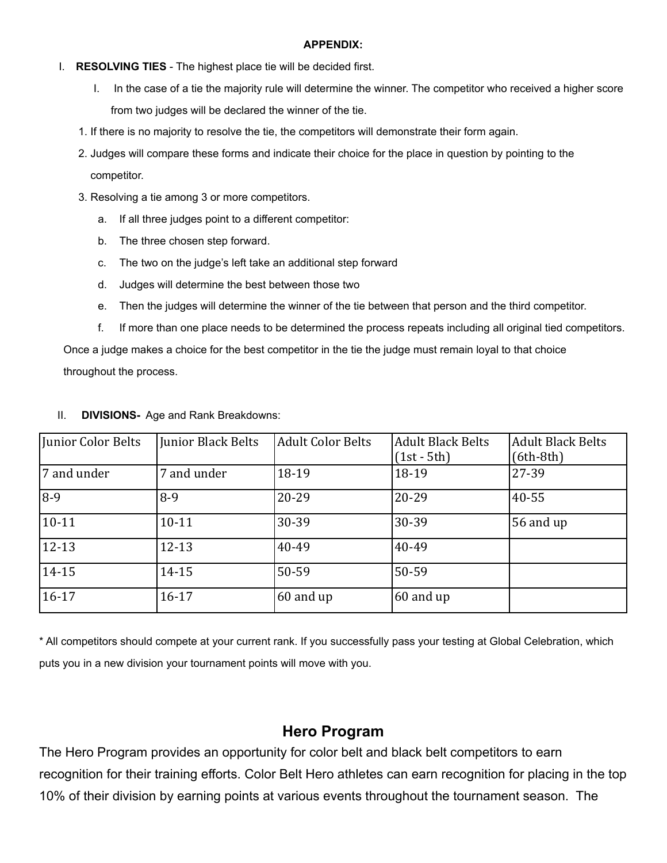#### **APPENDIX:**

## I. **RESOLVING TIES** - The highest place tie will be decided first.

- I. In the case of a tie the majority rule will determine the winner. The competitor who received a higher score from two judges will be declared the winner of the tie.
- 1. If there is no majority to resolve the tie, the competitors will demonstrate their form again.
- 2. Judges will compare these forms and indicate their choice for the place in question by pointing to the competitor.
- 3. Resolving a tie among 3 or more competitors.
	- a. If all three judges point to a different competitor:
	- b. The three chosen step forward.
	- c. The two on the judge's left take an additional step forward
	- d. Judges will determine the best between those two
	- e. Then the judges will determine the winner of the tie between that person and the third competitor.
	- f. If more than one place needs to be determined the process repeats including all original tied competitors.

 Once a judge makes a choice for the best competitor in the tie the judge must remain loyal to that choice throughout the process.

| Junior Color Belts | Junior Black Belts | <b>Adult Color Belts</b> | <b>Adult Black Belts</b><br>$(1st - 5th)$ | Adult Black Belts<br>$(6th-8th)$ |
|--------------------|--------------------|--------------------------|-------------------------------------------|----------------------------------|
| 7 and under        | 7 and under        | 18-19                    | 18-19                                     | 27-39                            |
| $8-9$              | $8-9$              | 20-29                    | 20-29                                     | 40-55                            |
| $10 - 11$          | $10 - 11$          | 30-39                    | 30-39                                     | 56 and $up$                      |
| $12 - 13$          | $12 - 13$          | 40-49                    | 40-49                                     |                                  |
| $14 - 15$          | 14-15              | 50-59                    | 50-59                                     |                                  |
| $16 - 17$          | $16 - 17$          | $ 60 \text{ and up} $    | 60 and up                                 |                                  |

## II. **DIVISIONS-** Age and Rank Breakdowns:

\* All competitors should compete at your current rank. If you successfully pass your testing at Global Celebration, which puts you in a new division your tournament points will move with you.

# **Hero Program**

The Hero Program provides an opportunity for color belt and black belt competitors to earn recognition for their training efforts. Color Belt Hero athletes can earn recognition for placing in the top 10% of their division by earning points at various events throughout the tournament season. The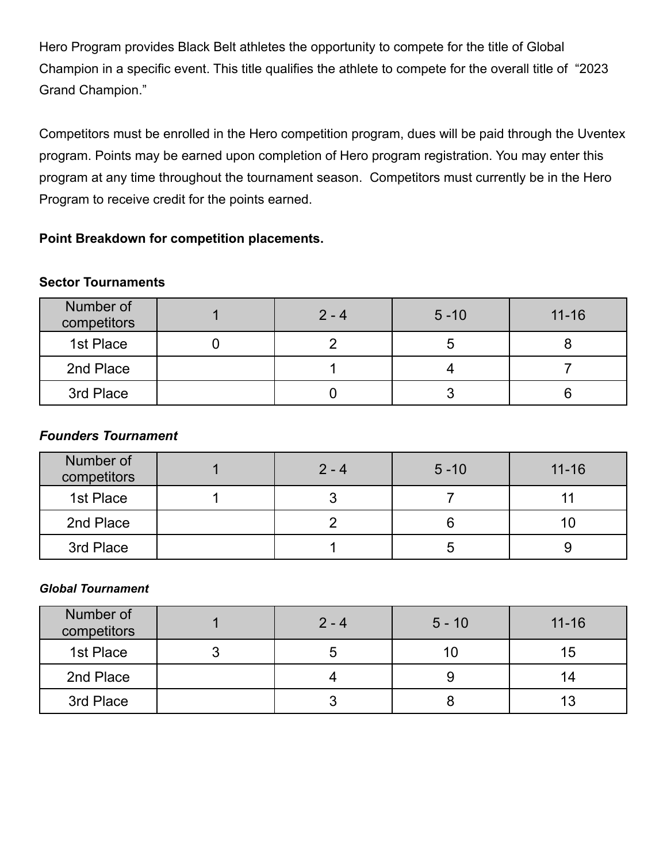Hero Program provides Black Belt athletes the opportunity to compete for the title of Global Champion in a specific event. This title qualifies the athlete to compete for the overall title of "2023 Grand Champion."

Competitors must be enrolled in the Hero competition program, dues will be paid through the Uventex program. Points may be earned upon completion of Hero program registration. You may enter this program at any time throughout the tournament season. Competitors must currently be in the Hero Program to receive credit for the points earned.

# **Point Breakdown for competition placements.**

# **Sector Tournaments**

| Number of<br>competitors | $2 - 4$ | $5 - 10$ | $11 - 16$ |
|--------------------------|---------|----------|-----------|
| 1st Place                |         | э        |           |
| 2nd Place                |         |          |           |
| 3rd Place                |         |          |           |

# *Founders Tournament*

| Number of<br>competitors | $2 - 4$ | $5 - 10$ | $11 - 16$ |
|--------------------------|---------|----------|-----------|
| 1st Place                |         |          |           |
| 2nd Place                |         |          |           |
| 3rd Place                |         | ວ        |           |

# *Global Tournament*

| Number of<br>competitors | $2 - 4$ | $5 - 10$ | $11 - 16$ |
|--------------------------|---------|----------|-----------|
| 1st Place                |         | 10       | ၊ ၁       |
| 2nd Place                |         | 9        |           |
| 3rd Place                |         |          |           |